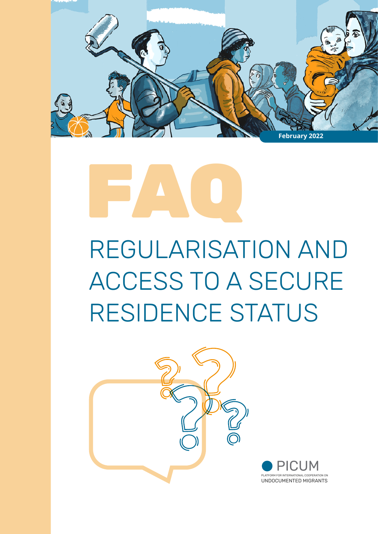

# FAQ

# REGULARISATION AND ACCESS TO A SECURE RESIDENCE STATUS

**ATION ON** 

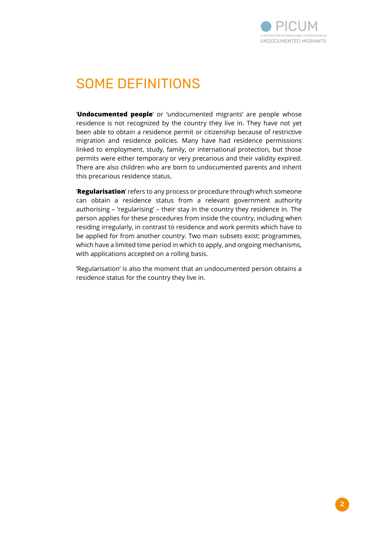

### SOME DEFINITIONS

'**Undocumented people**' or 'undocumented migrants' are people whose residence is not recognized by the country they live in. They have not yet been able to obtain a residence permit or citizenship because of restrictive migration and residence policies. Many have had residence permissions linked to employment, study, family, or international protection, but those permits were either temporary or very precarious and their validity expired. There are also children who are born to undocumented parents and inherit this precarious residence status.

'**Regularisation**' refers to any process or procedure through which someone can obtain a residence status from a relevant government authority authorising – 'regularising' – their stay in the country they residence in. The person applies for these procedures from inside the country, including when residing irregularly, in contrast to residence and work permits which have to be applied for from another country. Two main subsets exist: programmes, which have a limited time period in which to apply, and ongoing mechanisms, with applications accepted on a rolling basis.

'Regularisation' is also the moment that an undocumented person obtains a residence status for the country they live in.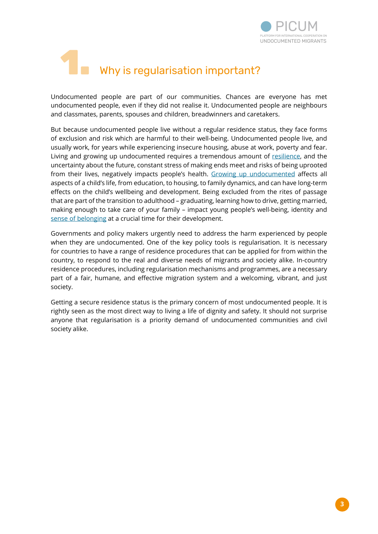

# 1. Why is regularisation important?

Undocumented people are part of our communities. Chances are everyone has met undocumented people, even if they did not realise it. Undocumented people are neighbours and classmates, parents, spouses and children, breadwinners and caretakers.

But because undocumented people live without a regular residence status, they face forms of exclusion and risk which are harmful to their well-being. Undocumented people live, and usually work, for years while experiencing insecure housing, abuse at work, poverty and fear. Living and growing up undocumented requires a tremendous amount of [resilience,](https://youtu.be/WFLjd84iwGQ) and the uncertainty about the future, constant stress of making ends meet and risks of being uprooted from their lives, negatively impacts people's health. [Growing up undocumented](https://picum.org/wp-content/uploads/2021/03/Navigating-Irregularity_EN.pdf) affects all aspects of a child's life, from education, to housing, to family dynamics, and can have long-term effects on the child's wellbeing and development. Being excluded from the rites of passage that are part of the transition to adulthood – graduating, learning how to drive, getting married, making enough to take care of your family – impact young people's well-being, identity and [sense of belonging](https://youtu.be/aBcMiwS_4kE) at a crucial time for their development.

Governments and policy makers urgently need to address the harm experienced by people when they are undocumented. One of the key policy tools is regularisation. It is necessary for countries to have a range of residence procedures that can be applied for from within the country, to respond to the real and diverse needs of migrants and society alike. In-country residence procedures, including regularisation mechanisms and programmes, are a necessary part of a fair, humane, and effective migration system and a welcoming, vibrant, and just society.

Getting a secure residence status is the primary concern of most undocumented people. It is rightly seen as the most direct way to living a life of dignity and safety. It should not surprise anyone that regularisation is a priority demand of undocumented communities and civil society alike.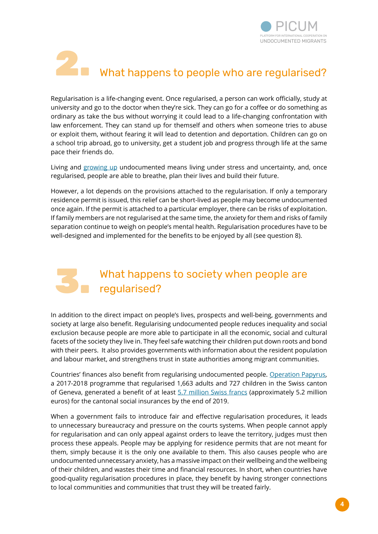

# 2. What happens to people who are regularised?

Regularisation is a life-changing event. Once regularised, a person can work officially, study at university and go to the doctor when they're sick. They can go for a coffee or do something as ordinary as take the bus without worrying it could lead to a life-changing confrontation with law enforcement. They can stand up for themself and others when someone tries to abuse or exploit them, without fearing it will lead to detention and deportation. Children can go on a school trip abroad, go to university, get a student job and progress through life at the same pace their friends do.

Living and [growing up](https://picum.org/wp-content/uploads/2021/03/Navigating-Irregularity_EN.pdf) undocumented means living under stress and uncertainty, and, once regularised, people are able to breathe, plan their lives and build their future.

However, a lot depends on the provisions attached to the regularisation. If only a temporary residence permit is issued, this relief can be short-lived as people may become undocumented once again. If the permit is attached to a particular employer, there can be risks of exploitation. If family members are not regularised at the same time, the anxiety for them and risks of family separation continue to weigh on people's mental health. Regularisation procedures have to be well-designed and implemented for the benefits to be enjoyed by all (see question 8).

#### 3. What happens to society when people are regularised?

In addition to the direct impact on people's lives, prospects and well-being, governments and society at large also benefit. Regularising undocumented people reduces inequality and social exclusion because people are more able to participate in all the economic, social and cultural facets of the society they live in. They feel safe watching their children put down roots and bond with their peers. It also provides governments with information about the resident population and labour market, and strengthens trust in state authorities among migrant communities.

Countries' finances also benefit from regularising undocumented people. [Operation Papyrus,](https://picum.org/geneva-operation-papyrus-regularised-thousands-of-undocumented-workers/) a 2017-2018 programme that regularised 1,663 adults and 727 children in the Swiss canton of Geneva, generated a benefit of at least [5.7 million Swiss francs](https://www.ge.ch/document/19688/telecharger) (approximately 5.2 million euros) for the cantonal social insurances by the end of 2019.

When a government fails to introduce fair and effective regularisation procedures, it leads to unnecessary bureaucracy and pressure on the courts systems. When people cannot apply for regularisation and can only appeal against orders to leave the territory, judges must then process these appeals. People may be applying for residence permits that are not meant for them, simply because it is the only one available to them. This also causes people who are undocumented unnecessary anxiety, has a massive impact on their wellbeing and the wellbeing of their children, and wastes their time and financial resources. In short, when countries have good-quality regularisation procedures in place, they benefit by having stronger connections to local communities and communities that trust they will be treated fairly.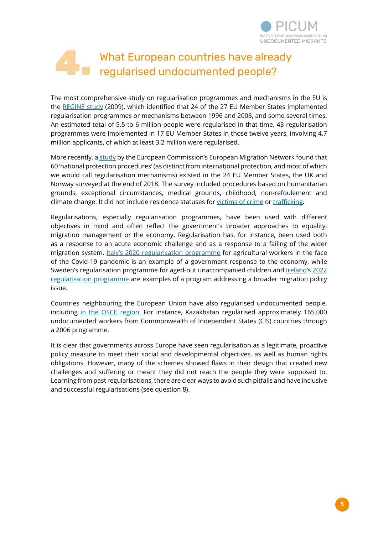

#### 4. What European countries have already regularised undocumented people?

The most comprehensive study on regularisation programmes and mechanisms in the EU is the [REGINE study](http://research.icmpd.org/fileadmin/Research-Website/Logos/Publications/REGINE_Policy_Brief.pdf) (2009), which identified that 24 of the 27 EU Member States implemented regularisation programmes or mechanisms between 1996 and 2008, and some several times. An estimated total of 5.5 to 6 million people were regularised in that time. 43 regularisation programmes were implemented in 17 EU Member States in those twelve years, involving 4.7 million applicants, of which at least 3.2 million were regularised.

More recently, a [study](https://ec.europa.eu/home-affairs/system/files/2021-02/emn_synthesis_report_nat_prot_statuses_final_en.pdf) by the European Commission's European Migration Network found that 60 'national protection procedures' (as distinct from international protection, and most of which we would call regularisation mechanisms) existed in the 24 EU Member States, the UK and Norway surveyed at the end of 2018. The survey included procedures based on humanitarian grounds, exceptional circumstances, medical grounds, childhood, non-refoulement and climate change. It did not include residence statuses for [victims of crime](https://picum.org/wp-content/uploads/2021/02/Preventing-harm-promoting-rights_EN.pdf) or [trafficking](https://picum.org/wp-content/uploads/2020/10/PICUM-Key-Messages-and-Recommendations-on-Human-Trafficking.pdf).

Regularisations, especially regularisation programmes, have been used with different objectives in mind and often reflect the government's broader approaches to equality, migration management or the economy. Regularisation has, for instance, been used both as a response to an acute economic challenge and as a response to a failing of the wider migration system. [Italy's 2020 regularisation programme](https://picum.org/italy-2020-regularisation-scheme-leaves-many-behind/) for agricultural workers in the face of the Covid-19 pandemic is an example of a government response to the economy, while Sweden's regularisation programme for aged-out unaccompanied children and [Ireland](https://www.euronews.com/2022/02/01/ireland-launches-amnesty-scheme-for-undocumented-migrants)'s [2022](https://www.mrci.ie/scheme21/) [regularisation programme](https://www.mrci.ie/scheme21/) are examples of a program addressing a broader migration policy issue.

Countries neighbouring the European Union have also regularised undocumented people, including [in the OSCE region](https://www.osce.org/files/f/documents/b/3/494251.pdf). For instance, Kazakhstan regularised approximately 165,000 undocumented workers from Commonwealth of Independent States (CIS) countries through a 2006 programme.

It is clear that governments across Europe have seen regularisation as a legitimate, proactive policy measure to meet their social and developmental objectives, as well as human rights obligations. However, many of the schemes showed flaws in their design that created new challenges and suffering or meant they did not reach the people they were supposed to. Learning from past regularisations, there are clear ways to avoid such pitfalls and have inclusive and successful regularisations (see question 8).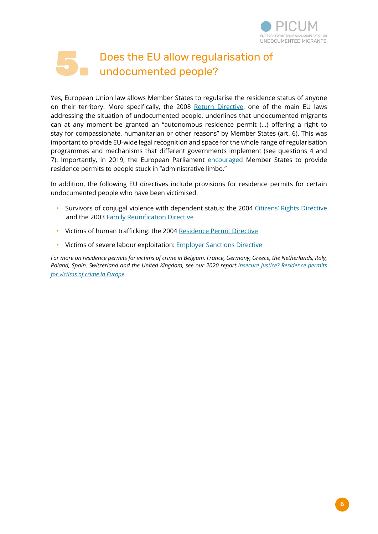

#### 5. Does the EU allow regularisation of undocumented people?

Yes, European Union law allows Member States to regularise the residence status of anyone on their territory. More specifically, the 2008 [Return Directive](https://eur-lex.europa.eu/LexUriServ/LexUriServ.do?uri=OJ:L:2008:348:0098:0107:EN:PDF), one of the main EU laws addressing the situation of undocumented people, underlines that undocumented migrants can at any moment be granted an "autonomous residence permit (…) offering a right to stay for compassionate, humanitarian or other reasons" by Member States (art. 6). This was important to provide EU-wide legal recognition and space for the whole range of regularisation programmes and mechanisms that different governments implement (see questions 4 and 7). Importantly, in 2019, the European Parliament [encouraged](https://www.europarl.europa.eu/doceo/document/A-9-2020-0238_EN.html) Member States to provide residence permits to people stuck in "administrative limbo."

In addition, the following EU directives include provisions for residence permits for certain undocumented people who have been victimised:

- Survivors of conjugal violence with dependent status: the 2004 [Citizens' Rights Directive](https://eur-lex.europa.eu/LexUriServ/LexUriServ.do?uri=OJ:L:2004:229:0035:0048:en:PDF) and the 2003 [Family Reunification Directive](https://eur-lex.europa.eu/legal-content/EN/ALL/?uri=CELEX%3A32003L0086)
- Victims of human trafficking: the 2004 [Residence Permit Directive](https://eur-lex.europa.eu/legal-content/EN/TXT/?uri=celex%3A32004L0081)
- Victims of severe labour exploitation: **[Employer Sanctions Directive](https://eur-lex.europa.eu/legal-content/EN/TXT/PDF/?uri=CELEX:32009L0052&from=EN)**

*For more on residence permits for victims of crime in Belgium, France, Germany, Greece, the Netherlands, Italy, Poland, Spain, Switzerland and the United Kingdom, see our 2020 report <i>[Insecure Justice? Residence permits](https://picum.org/putting-safety-first/) [for victims of crime in Europe](https://picum.org/putting-safety-first/).*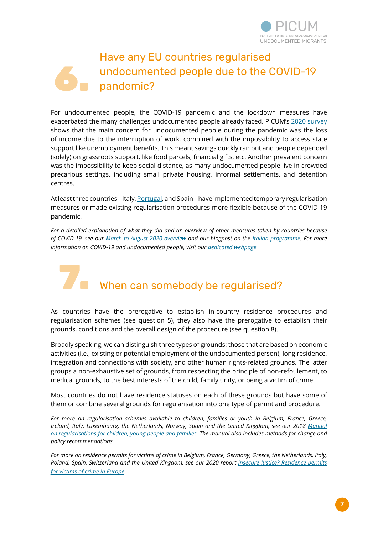

#### 6. Have any EU countries regularised undocumented people due to the COVID-19 pandemic?

For undocumented people, the COVID-19 pandemic and the lockdown measures have exacerbated the many challenges undocumented people already faced. PICUM's [2020 survey](https://picum.org/whats-happening-to-undocumented-people-during-the-covid-19-pandemic/) shows that the main concern for undocumented people during the pandemic was the loss of income due to the interruption of work, combined with the impossibility to access state support like unemployment benefits. This meant savings quickly ran out and people depended (solely) on grassroots support, like food parcels, financial gifts, etc. Another prevalent concern was the impossibility to keep social distance, as many undocumented people live in crowded precarious settings, including small private housing, informal settlements, and detention centres.

At least three countries – Italy, [Portugal](https://visao.sapo.pt/atualidade/mundo/2021-01-16-covid-19-despachos-regularizaram-provisoriamente-mais-de-356-000-imigrantes-sef/), and Spain – have implemented temporary regularisation measures or made existing regularisation procedures more flexible because of the COVID-19 pandemic.

*For a detailed explanation of what they did and an overview of other measures taken by countries because of COVID-19, see our [March to August 2020 overview](https://picum.org/wp-content/uploads/2020/10/Non-exhaustive-overview-of-European-government-measures-impacting-undocumented-migrants-taken-in-the-context-of-COVID-19.pdf) and our blogpost on the [Italian programme](https://picum.org/italy-2020-regularisation-scheme-leaves-many-behind/). For more information on COVID-19 and undocumented people, visit our [dedicated webpage.](https://picum.org/covid-19-undocumented-migrants-europe/)* 

# 7. When can somebody be regularised?

As countries have the prerogative to establish in-country residence procedures and regularisation schemes (see question 5), they also have the prerogative to establish their grounds, conditions and the overall design of the procedure (see question 8).

Broadly speaking, we can distinguish three types of grounds: those that are based on economic activities (i.e., existing or potential employment of the undocumented person), long residence, integration and connections with society, and other human rights-related grounds. The latter groups a non-exhaustive set of grounds, from respecting the principle of non-refoulement, to medical grounds, to the best interests of the child, family unity, or being a victim of crime.

Most countries do not have residence statuses on each of these grounds but have some of them or combine several grounds for regularisation into one type of permit and procedure.

*For more on regularisation schemes available to children, families or youth in Belgium, France, Greece, Ireland, Italy, Luxembourg, the Netherlands, Norway, Spain and the United Kingdom, see our 2018 [Manual](https://www.picum.org/Documents/Publi/2018/Regularisation_Children_Manual_2018.pdf) [on regularisations for children, young people and families.](https://www.picum.org/Documents/Publi/2018/Regularisation_Children_Manual_2018.pdf) The manual also includes methods for change and policy recommendations.* 

*For more on residence permits for victims of crime in Belgium, France, Germany, Greece, the Netherlands, Italy, Poland, Spain, Switzerland and the United Kingdom, see our 2020 report <i>[Insecure Justice? Residence permits](https://picum.org/putting-safety-first/) [for victims of crime in Europe](https://picum.org/putting-safety-first/).*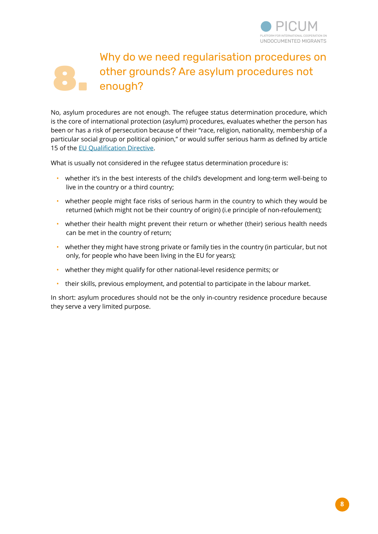

#### 8. Why do we need regularisation procedures on other grounds? Are asylum procedures not enough?

No, asylum procedures are not enough. The refugee status determination procedure, which is the core of international protection (asylum) procedures, evaluates whether the person has been or has a risk of persecution because of their "race, religion, nationality, membership of a particular social group or political opinion," or would suffer serious harm as defined by article 15 of the [EU Qualification Directive](https://eur-lex.europa.eu/legal-content/EN/TXT/?uri=celex%3A32011L0095).

What is usually not considered in the refugee status determination procedure is:

- whether it's in the best interests of the child's development and long-term well-being to live in the country or a third country;
- whether people might face risks of serious harm in the country to which they would be returned (which might not be their country of origin) (i.e principle of non-refoulement);
- whether their health might prevent their return or whether (their) serious health needs can be met in the country of return;
- whether they might have strong private or family ties in the country (in particular, but not only, for people who have been living in the EU for years);
- whether they might qualify for other national-level residence permits; or
- their skills, previous employment, and potential to participate in the labour market.

In short: asylum procedures should not be the only in-country residence procedure because they serve a very limited purpose.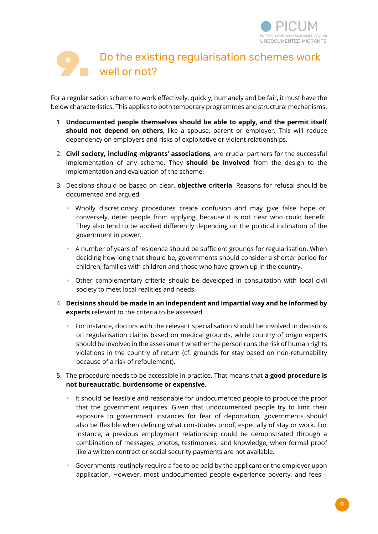

#### 9. Do the existing regularisation schemes work well or not?

For a regularisation scheme to work effectively, quickly, humanely and be fair, it must have the below characteristics. This applies to both temporary programmes and structural mechanisms.

- 1. **Undocumented people themselves should be able to apply, and the permit itself should not depend on others**, like a spouse, parent or employer. This will reduce dependency on employers and risks of exploitative or violent relationships.
- 2. **Civil society, including migrants' associations**, are crucial partners for the successful implementation of any scheme. They **should be involved** from the design to the implementation and evaluation of the scheme.
- 3. Decisions should be based on clear, **objective criteria**. Reasons for refusal should be documented and argued.
	- Wholly discretionary procedures create confusion and may give false hope or, conversely, deter people from applying, because it is not clear who could benefit. They also tend to be applied differently depending on the political inclination of the government in power.
	- A number of years of residence should be sufficient grounds for regularisation. When deciding how long that should be, governments should consider a shorter period for children, families with children and those who have grown up in the country.
	- Other complementary criteria should be developed in consultation with local civil society to meet local realities and needs.
- 4. **Decisions should be made in an independent and impartial way and be informed by experts** relevant to the criteria to be assessed.
	- For instance, doctors with the relevant specialisation should be involved in decisions on regularisation claims based on medical grounds, while country of origin experts should be involved in the assessment whether the person runs the risk of human rights violations in the country of return (cf. grounds for stay based on non-returnability because of a risk of refoulement).
- 5. The procedure needs to be accessible in practice. That means that **a good procedure is not bureaucratic, burdensome or expensive**.
	- It should be feasible and reasonable for undocumented people to produce the proof that the government requires. Given that undocumented people try to limit their exposure to government instances for fear of deportation, governments should also be flexible when defining what constitutes proof, especially of stay or work. For instance, a previous employment relationship could be demonstrated through a combination of messages, photos, testimonies, and knowledge, when formal proof like a written contract or social security payments are not available.
	- Governments routinely require a fee to be paid by the applicant or the employer upon application. However, most undocumented people experience poverty, and fees –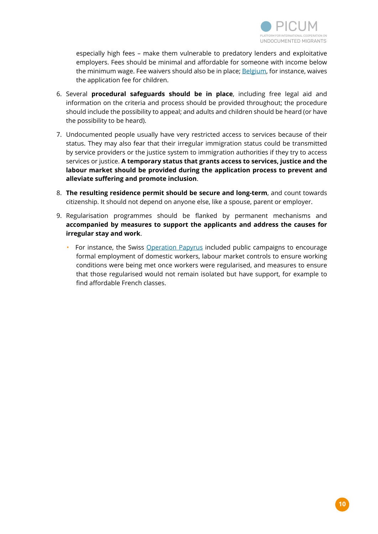

especially high fees – make them vulnerable to predatory lenders and exploitative employers. Fees should be minimal and affordable for someone with income below the minimum wage. Fee waivers should also be in place; [Belgium](https://dofi.ibz.be/nl/themes/faq/long-sejour/bijdrage), for instance, waives the application fee for children.

- 6. Several **procedural safeguards should be in place**, including free legal aid and information on the criteria and process should be provided throughout; the procedure should include the possibility to appeal; and adults and children should be heard (or have the possibility to be heard).
- 7. Undocumented people usually have very restricted access to services because of their status. They may also fear that their irregular immigration status could be transmitted by service providers or the justice system to immigration authorities if they try to access services or justice. **A temporary status that grants access to services, justice and the labour market should be provided during the application process to prevent and alleviate suffering and promote inclusion**.
- 8. **The resulting residence permit should be secure and long-term**, and count towards citizenship. It should not depend on anyone else, like a spouse, parent or employer.
- 9. Regularisation programmes should be flanked by permanent mechanisms and **accompanied by measures to support the applicants and address the causes for irregular stay and work**.
	- For instance, the Swiss [Operation Papyrus](https://picum.org/geneva-operation-papyrus-regularised-thousands-of-undocumented-workers/) included public campaigns to encourage formal employment of domestic workers, labour market controls to ensure working conditions were being met once workers were regularised, and measures to ensure that those regularised would not remain isolated but have support, for example to find affordable French classes.